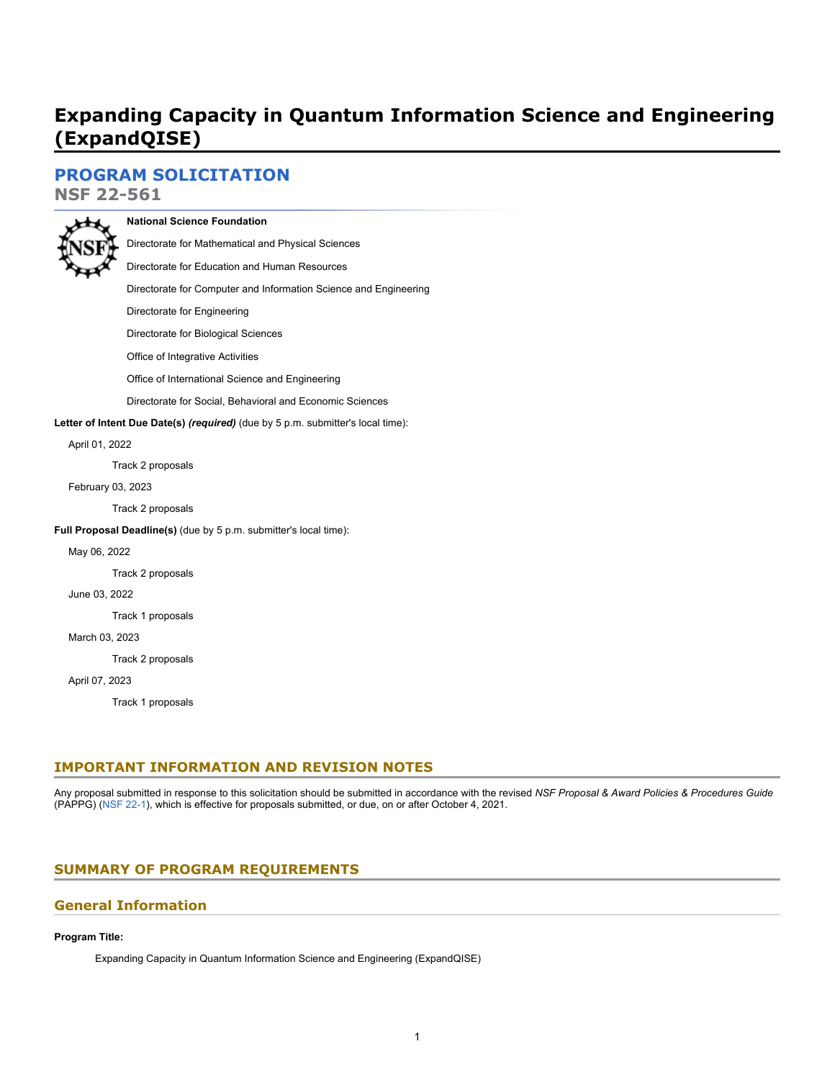# **Expanding Capacity in Quantum Information Science and Engineering (ExpandQISE)**

## **[PROGRAM SOLICITATION](#page-3-0)**

**NSF 22-561**



#### **National Science Foundation**

Directorate for Mathematical and Physical Sciences

Directorate for Education and Human Resources

Directorate for Computer and Information Science and Engineering

Directorate for Engineering

Directorate for Biological Sciences

Office of Integrative Activities

Office of International Science and Engineering

Directorate for Social, Behavioral and Economic Sciences

#### **Letter of Intent Due Date(s)** *(required)* (due by 5 p.m. submitter's local time):

April 01, 2022

Track 2 proposals

February 03, 2023

Track 2 proposals

**Full Proposal Deadline(s)** (due by 5 p.m. submitter's local time):

May 06, 2022

Track 2 proposals

June 03, 2022

Track 1 proposals

March 03, 2023

Track 2 proposals

April 07, 2023

Track 1 proposals

### **IMPORTANT INFORMATION AND REVISION NOTES**

Any proposal submitted in response to this solicitation should be submitted in accordance with the revised *NSF Proposal & Award Policies & Procedures Guide* (PAPPG) [\(NSF 22-1](https://www.nsf.gov/publications/pub_summ.jsp?ods_key=nsf22001&org=NSF)), which is effective for proposals submitted, or due, on or after October 4, 2021.

## <span id="page-0-0"></span>**SUMMARY OF PROGRAM REQUIREMENTS**

### **General Information**

#### **Program Title:**

Expanding Capacity in Quantum Information Science and Engineering (ExpandQISE)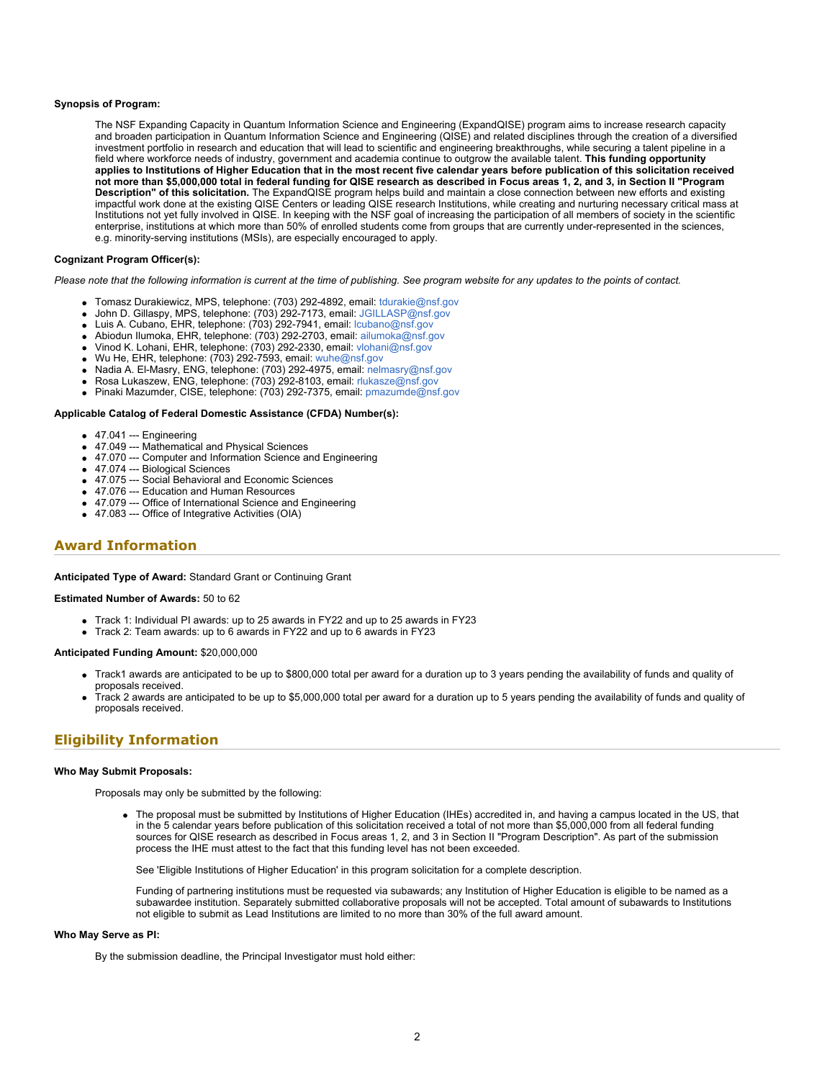#### **Synopsis of Program:**

The NSF Expanding Capacity in Quantum Information Science and Engineering (ExpandQISE) program aims to increase research capacity and broaden participation in Quantum Information Science and Engineering (QISE) and related disciplines through the creation of a diversified investment portfolio in research and education that will lead to scientific and engineering breakthroughs, while securing a talent pipeline in a field where workforce needs of industry, government and academia continue to outgrow the available talent. **This funding opportunity applies to Institutions of Higher Education that in the most recent five calendar years before publication of this solicitation received not more than \$5,000,000 total in federal funding for QISE research as described in Focus areas 1, 2, and 3, in Section II "Program Description" of this solicitation.** The ExpandQISE program helps build and maintain a close connection between new efforts and existing impactful work done at the existing QISE Centers or leading QISE research Institutions, while creating and nurturing necessary critical mass at Institutions not yet fully involved in QISE. In keeping with the NSF goal of increasing the participation of all members of society in the scientific enterprise, institutions at which more than 50% of enrolled students come from groups that are currently under-represented in the sciences, e.g. minority-serving institutions (MSIs), are especially encouraged to apply.

#### **Cognizant Program Officer(s):**

*Please note that the following information is current at the time of publishing. See program website for any updates to the points of contact.*

- Tomasz Durakiewicz, MPS, telephone: (703) 292-4892, email: [tdurakie@nsf.gov](mailto:tdurakie@nsf.gov)
- John D. Gillaspy, MPS, telephone: (703) 292-7173, email: [JGILLASP@nsf.gov](mailto:JGILLASP@nsf.gov)
- Luis A. Cubano, EHR, telephone: (703) 292-7941, email: [lcubano@nsf.gov](mailto:lcubano@nsf.gov)
- Abiodun Ilumoka, EHR, telephone: (703) 292-2703, email: [ailumoka@nsf.gov](mailto:ailumoka@nsf.gov)
- Vinod K. Lohani, EHR, telephone: (703) 292-2330, email: [vlohani@nsf.gov](mailto:vlohani@nsf.gov)
- Wu He, EHR, telephone: (703) 292-7593, email: [wuhe@nsf.gov](mailto:wuhe@nsf.gov)
- Nadia A. El-Masry, ENG, telephone: (703) 292-4975, email: [nelmasry@nsf.gov](mailto:nelmasry@nsf.gov)
- Rosa Lukaszew, ENG, telephone: (703) 292-8103, email: [rlukasze@nsf.gov](mailto:rlukasze@nsf.gov)
- Pinaki Mazumder, CISE, telephone: (703) 292-7375, email: [pmazumde@nsf.gov](mailto:pmazumde@nsf.gov)

#### **Applicable Catalog of Federal Domestic Assistance (CFDA) Number(s):**

- 47.041 --- Engineering
- 47.049 --- Mathematical and Physical Sciences
- 47.070 --- Computer and Information Science and Engineering
- 47.074 --- Biological Sciences
- 47.075 --- Social Behavioral and Economic Sciences
- 47.076 --- Education and Human Resources
- 47.079 --- Office of International Science and Engineering
- 47.083 --- Office of Integrative Activities (OIA)

### **Award Information**

**Anticipated Type of Award:** Standard Grant or Continuing Grant

#### **Estimated Number of Awards:** 50 to 62

- Track 1: Individual PI awards: up to 25 awards in FY22 and up to 25 awards in FY23
- Track 2: Team awards: up to 6 awards in FY22 and up to 6 awards in FY23

#### **Anticipated Funding Amount:** \$20,000,000

- Track1 awards are anticipated to be up to \$800,000 total per award for a duration up to 3 years pending the availability of funds and quality of proposals received.
- Track 2 awards are anticipated to be up to \$5,000,000 total per award for a duration up to 5 years pending the availability of funds and quality of proposals received.

### **Eligibility Information**

#### **Who May Submit Proposals:**

Proposals may only be submitted by the following:

The proposal must be submitted by Institutions of Higher Education (IHEs) accredited in, and having a campus located in the US, that in the 5 calendar years before publication of this solicitation received a total of not more than \$5,000,000 from all federal funding sources for QISE research as described in Focus areas 1, 2, and 3 in Section II "Program Description". As part of the submission process the IHE must attest to the fact that this funding level has not been exceeded.

See 'Eligible Institutions of Higher Education' in this program solicitation for a complete description.

Funding of partnering institutions must be requested via subawards; any Institution of Higher Education is eligible to be named as a subawardee institution. Separately submitted collaborative proposals will not be accepted. Total amount of subawards to Institutions not eligible to submit as Lead Institutions are limited to no more than 30% of the full award amount.

#### **Who May Serve as PI:**

By the submission deadline, the Principal Investigator must hold either: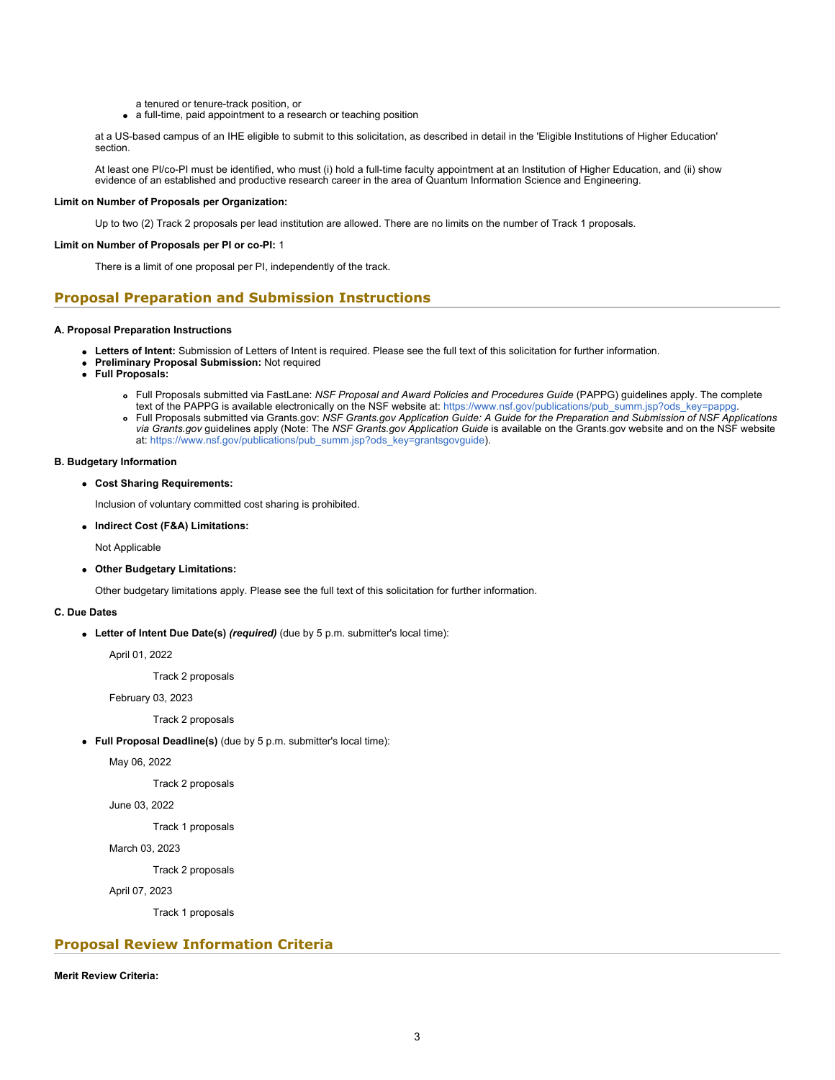a tenured or tenure-track position, or

a full-time, paid appointment to a research or teaching position

at a US-based campus of an IHE eligible to submit to this solicitation, as described in detail in the 'Eligible Institutions of Higher Education' section.

At least one PI/co-PI must be identified, who must (i) hold a full-time faculty appointment at an Institution of Higher Education, and (ii) show evidence of an established and productive research career in the area of Quantum Information Science and Engineering.

#### **Limit on Number of Proposals per Organization:**

Up to two (2) Track 2 proposals per lead institution are allowed. There are no limits on the number of Track 1 proposals.

#### **Limit on Number of Proposals per PI or co-PI:** 1

There is a limit of one proposal per PI, independently of the track.

#### **Proposal Preparation and Submission Instructions**

#### **A. Proposal Preparation Instructions**

- **Letters of Intent:** Submission of Letters of Intent is required. Please see the full text of this solicitation for further information.
- **Preliminary Proposal Submission:** Not required
- **Full Proposals:**
	- Full Proposals submitted via FastLane: *NSF Proposal and Award Policies and Procedures Guide* (PAPPG) guidelines apply. The complete text of the PAPPG is available electronically on the NSF website at: [https://www.nsf.gov/publications/pub\\_summ.jsp?ods\\_key=pappg](https://www.nsf.gov/publications/pub_summ.jsp?ods_key=pappg).
	- Full Proposals submitted via Grants.gov: *NSF Grants.gov Application Guide: A Guide for the Preparation and Submission of NSF Applications via Grants.gov* guidelines apply (Note: The *NSF Grants.gov Application Guide* is available on the Grants.gov website and on the NSF website at: [https://www.nsf.gov/publications/pub\\_summ.jsp?ods\\_key=grantsgovguide](https://www.nsf.gov/publications/pub_summ.jsp?ods_key=grantsgovguide)).

#### **B. Budgetary Information**

#### **Cost Sharing Requirements:**

Inclusion of voluntary committed cost sharing is prohibited.

**Indirect Cost (F&A) Limitations:**

Not Applicable

**Other Budgetary Limitations:**

Other budgetary limitations apply. Please see the full text of this solicitation for further information.

#### **C. Due Dates**

**Letter of Intent Due Date(s)** *(required)* (due by 5 p.m. submitter's local time):

April 01, 2022

Track 2 proposals

February 03, 2023

Track 2 proposals

**Full Proposal Deadline(s)** (due by 5 p.m. submitter's local time):

May 06, 2022

Track 2 proposals

June 03, 2022

Track 1 proposals

March 03, 2023

Track 2 proposals

April 07, 2023

Track 1 proposals

### **Proposal Review Information Criteria**

#### **Merit Review Criteria:**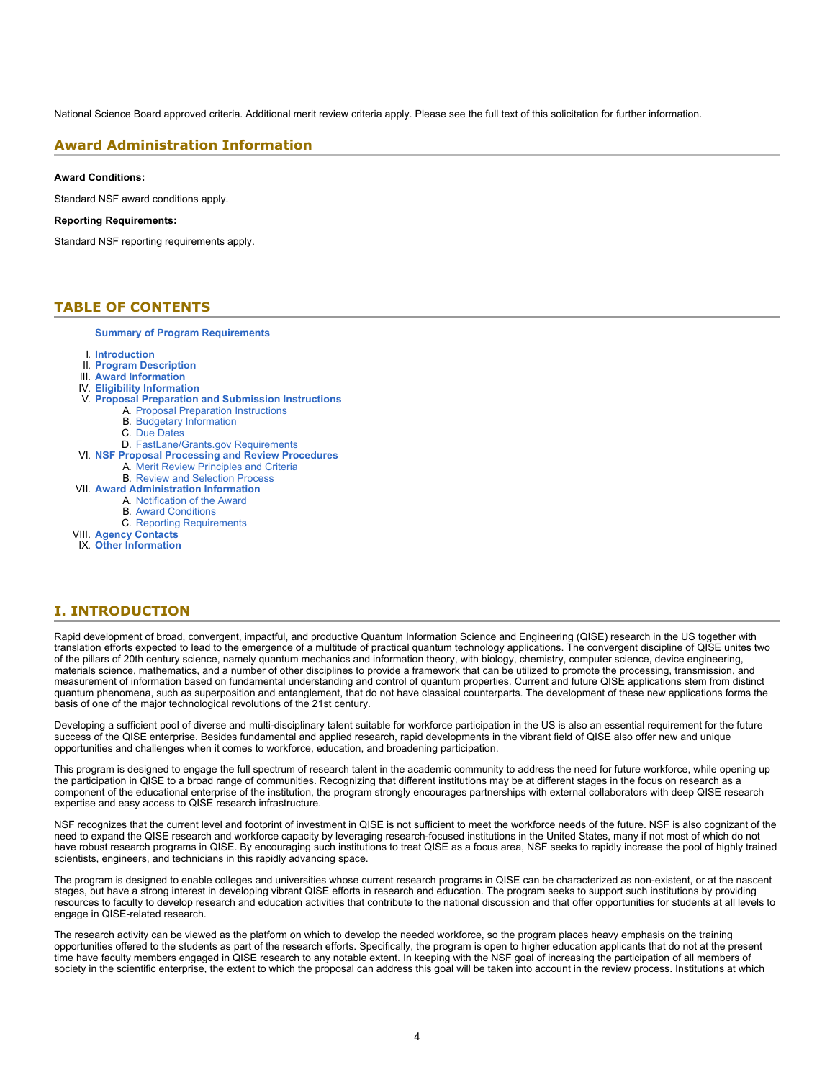National Science Board approved criteria. Additional merit review criteria apply. Please see the full text of this solicitation for further information.

## **Award Administration Information**

**Award Conditions:**

Standard NSF award conditions apply.

#### **Reporting Requirements:**

Standard NSF reporting requirements apply.

## <span id="page-3-0"></span>**TABLE OF CONTENTS**

**[Summary of Program Requirements](#page-0-0)**

- I. **[Introduction](#page-3-1)**
- II. **[Program Description](#page-4-0)**
- III. **[Award Information](#page-6-0)**
- IV. **[Eligibility Information](#page-6-1)**
- V. **[Proposal Preparation and Submission Instructions](#page-6-2)**
	- A. [Proposal Preparation Instructions](#page-6-2)
	- B. [Budgetary Information](#page-8-0)
	- C. [Due Dates](#page-9-0)
- D. [FastLane/Grants.gov Requirements](#page-9-1)
- VI. **[NSF Proposal Processing and Review Procedures](#page-9-2)**
	- A. [Merit Review Principles and Criteria](#page-10-0)
		- B. [Review and Selection Process](#page-11-0)
- VII. **[Award Administration Information](#page-11-1)**
	- A. [Notification of the Award](#page-11-2) B. [Award Conditions](#page-11-3)
	-
	- C. [Reporting Requirements](#page-12-0)
- VIII. **[Agency Contacts](#page-12-1)** IX. **[Other Information](#page-12-2)**

### <span id="page-3-1"></span>**I. INTRODUCTION**

Rapid development of broad, convergent, impactful, and productive Quantum Information Science and Engineering (QISE) research in the US together with translation efforts expected to lead to the emergence of a multitude of practical quantum technology applications. The convergent discipline of QISE unites two of the pillars of 20th century science, namely quantum mechanics and information theory, with biology, chemistry, computer science, device engineering, materials science, mathematics, and a number of other disciplines to provide a framework that can be utilized to promote the processing, transmission, and measurement of information based on fundamental understanding and control of quantum properties. Current and future QISE applications stem from distinct quantum phenomena, such as superposition and entanglement, that do not have classical counterparts. The development of these new applications forms the basis of one of the major technological revolutions of the 21st century.

Developing a sufficient pool of diverse and multi-disciplinary talent suitable for workforce participation in the US is also an essential requirement for the future success of the QISE enterprise. Besides fundamental and applied research, rapid developments in the vibrant field of QISE also offer new and unique opportunities and challenges when it comes to workforce, education, and broadening participation.

This program is designed to engage the full spectrum of research talent in the academic community to address the need for future workforce, while opening up the participation in QISE to a broad range of communities. Recognizing that different institutions may be at different stages in the focus on research as a component of the educational enterprise of the institution, the program strongly encourages partnerships with external collaborators with deep QISE research expertise and easy access to QISE research infrastructure.

NSF recognizes that the current level and footprint of investment in QISE is not sufficient to meet the workforce needs of the future. NSF is also cognizant of the need to expand the QISE research and workforce capacity by leveraging research-focused institutions in the United States, many if not most of which do not have robust research programs in QISE. By encouraging such institutions to treat QISE as a focus area, NSF seeks to rapidly increase the pool of highly trained scientists, engineers, and technicians in this rapidly advancing space.

The program is designed to enable colleges and universities whose current research programs in QISE can be characterized as non-existent, or at the nascent stages, but have a strong interest in developing vibrant QISE efforts in research and education. The program seeks to support such institutions by providing resources to faculty to develop research and education activities that contribute to the national discussion and that offer opportunities for students at all levels to engage in QISE-related research.

The research activity can be viewed as the platform on which to develop the needed workforce, so the program places heavy emphasis on the training opportunities offered to the students as part of the research efforts. Specifically, the program is open to higher education applicants that do not at the present time have faculty members engaged in QISE research to any notable extent. In keeping with the NSF goal of increasing the participation of all members of society in the scientific enterprise, the extent to which the proposal can address this goal will be taken into account in the review process. Institutions at which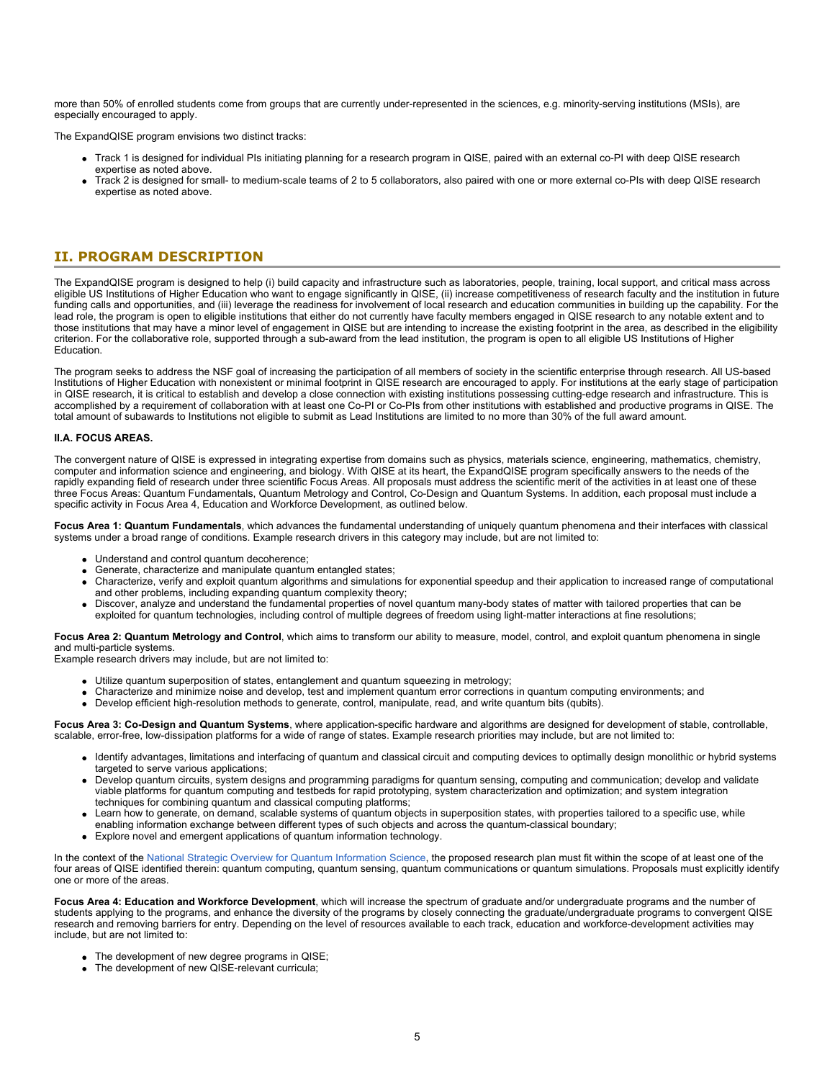more than 50% of enrolled students come from groups that are currently under-represented in the sciences, e.g. minority-serving institutions (MSIs), are especially encouraged to apply.

The ExpandQISE program envisions two distinct tracks:

- Track 1 is designed for individual PIs initiating planning for a research program in QISE, paired with an external co-PI with deep QISE research expertise as noted above.
- Track 2 is designed for small- to medium-scale teams of 2 to 5 collaborators, also paired with one or more external co-PIs with deep QISE research expertise as noted above.

## <span id="page-4-0"></span>**II. PROGRAM DESCRIPTION**

The ExpandQISE program is designed to help (i) build capacity and infrastructure such as laboratories, people, training, local support, and critical mass across eligible US Institutions of Higher Education who want to engage significantly in QISE, (ii) increase competitiveness of research faculty and the institution in future funding calls and opportunities, and (iii) leverage the readiness for involvement of local research and education communities in building up the capability. For the lead role, the program is open to eligible institutions that either do not currently have faculty members engaged in QISE research to any notable extent and to those institutions that may have a minor level of engagement in QISE but are intending to increase the existing footprint in the area, as described in the eligibility criterion. For the collaborative role, supported through a sub-award from the lead institution, the program is open to all eligible US Institutions of Higher Education.

The program seeks to address the NSF goal of increasing the participation of all members of society in the scientific enterprise through research. All US-based Institutions of Higher Education with nonexistent or minimal footprint in QISE research are encouraged to apply. For institutions at the early stage of participation in QISE research, it is critical to establish and develop a close connection with existing institutions possessing cutting-edge research and infrastructure. This is accomplished by a requirement of collaboration with at least one Co-PI or Co-PIs from other institutions with established and productive programs in QISE. The total amount of subawards to Institutions not eligible to submit as Lead Institutions are limited to no more than 30% of the full award amount.

#### **II.A. FOCUS AREAS.**

The convergent nature of QISE is expressed in integrating expertise from domains such as physics, materials science, engineering, mathematics, chemistry, computer and information science and engineering, and biology. With QISE at its heart, the ExpandQISE program specifically answers to the needs of the rapidly expanding field of research under three scientific Focus Areas. All proposals must address the scientific merit of the activities in at least one of these three Focus Areas: Quantum Fundamentals, Quantum Metrology and Control, Co-Design and Quantum Systems. In addition, each proposal must include a specific activity in Focus Area 4, Education and Workforce Development, as outlined below.

**Focus Area 1: Quantum Fundamentals**, which advances the fundamental understanding of uniquely quantum phenomena and their interfaces with classical systems under a broad range of conditions. Example research drivers in this category may include, but are not limited to:

- Understand and control quantum decoherence:
- Generate, characterize and manipulate quantum entangled states;
- Characterize, verify and exploit quantum algorithms and simulations for exponential speedup and their application to increased range of computational and other problems, including expanding quantum complexity theory;
- Discover, analyze and understand the fundamental properties of novel quantum many-body states of matter with tailored properties that can be exploited for quantum technologies, including control of multiple degrees of freedom using light-matter interactions at fine resolutions;

**Focus Area 2: Quantum Metrology and Control**, which aims to transform our ability to measure, model, control, and exploit quantum phenomena in single and multi-particle systems.

Example research drivers may include, but are not limited to:

- Utilize quantum superposition of states, entanglement and quantum squeezing in metrology;
- Characterize and minimize noise and develop, test and implement quantum error corrections in quantum computing environments; and
- Develop efficient high-resolution methods to generate, control, manipulate, read, and write quantum bits (qubits).

**Focus Area 3: Co-Design and Quantum Systems**, where application-specific hardware and algorithms are designed for development of stable, controllable, scalable, error-free, low-dissipation platforms for a wide of range of states. Example research priorities may include, but are not limited to:

- Identify advantages, limitations and interfacing of quantum and classical circuit and computing devices to optimally design monolithic or hybrid systems targeted to serve various applications:
- Develop quantum circuits, system designs and programming paradigms for quantum sensing, computing and communication; develop and validate viable platforms for quantum computing and testbeds for rapid prototyping, system characterization and optimization; and system integration techniques for combining quantum and classical computing platforms;
- Learn how to generate, on demand, scalable systems of quantum objects in superposition states, with properties tailored to a specific use, while enabling information exchange between different types of such objects and across the quantum-classical boundary;
- Explore novel and emergent applications of quantum information technology.

In the context of the [National Strategic Overview for Quantum Information Science](https://www.quantum.gov/wp-content/uploads/2020/10/2018_NSTC_National_Strategic_Overview_QIS.pdf), the proposed research plan must fit within the scope of at least one of the four areas of QISE identified therein: quantum computing, quantum sensing, quantum communications or quantum simulations. Proposals must explicitly identify one or more of the areas.

**Focus Area 4: Education and Workforce Development**, which will increase the spectrum of graduate and/or undergraduate programs and the number of students applying to the programs, and enhance the diversity of the programs by closely connecting the graduate/undergraduate programs to convergent QISE research and removing barriers for entry. Depending on the level of resources available to each track, education and workforce-development activities may include, but are not limited to:

- The development of new degree programs in QISE;
- The development of new QISE-relevant curricula;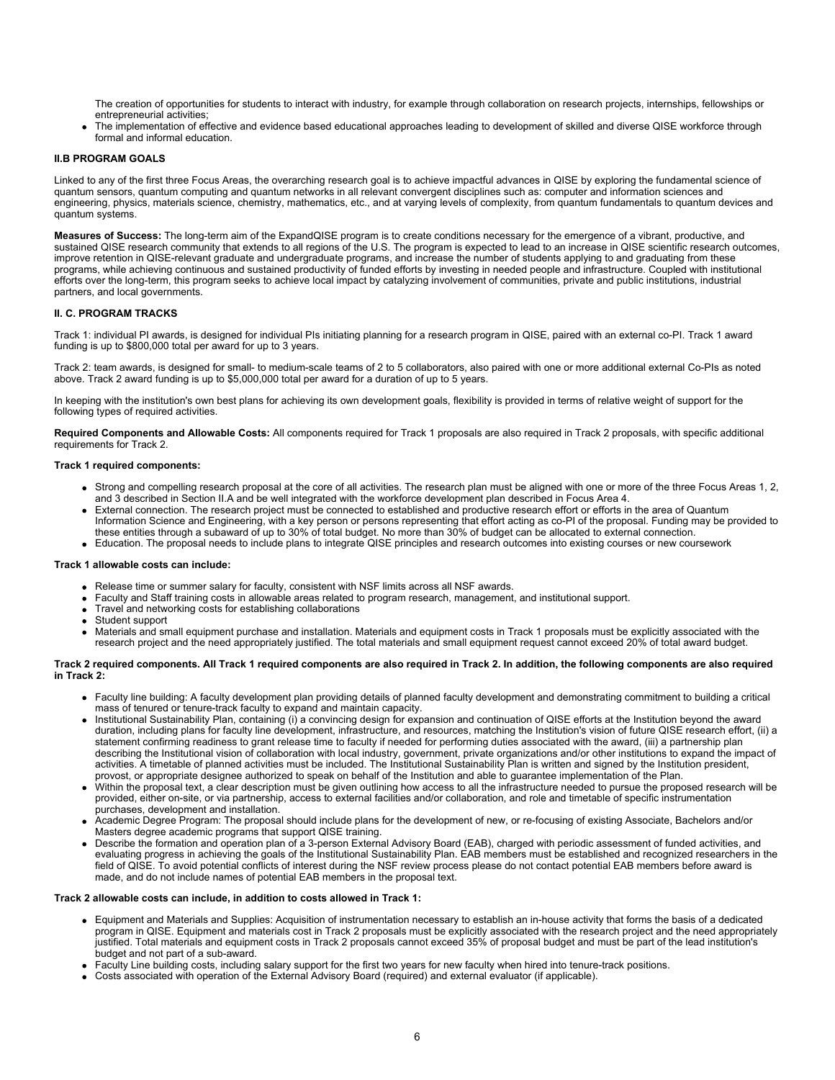The creation of opportunities for students to interact with industry, for example through collaboration on research projects, internships, fellowships or entrepreneurial activities;

The implementation of effective and evidence based educational approaches leading to development of skilled and diverse QISE workforce through formal and informal education.

#### **II.B PROGRAM GOALS**

Linked to any of the first three Focus Areas, the overarching research goal is to achieve impactful advances in QISE by exploring the fundamental science of quantum sensors, quantum computing and quantum networks in all relevant convergent disciplines such as: computer and information sciences and engineering, physics, materials science, chemistry, mathematics, etc., and at varying levels of complexity, from quantum fundamentals to quantum devices and quantum systems.

**Measures of Success:** The long-term aim of the ExpandQISE program is to create conditions necessary for the emergence of a vibrant, productive, and sustained QISE research community that extends to all regions of the U.S. The program is expected to lead to an increase in QISE scientific research outcomes, improve retention in QISE-relevant graduate and undergraduate programs, and increase the number of students applying to and graduating from these programs, while achieving continuous and sustained productivity of funded efforts by investing in needed people and infrastructure. Coupled with institutional efforts over the long-term, this program seeks to achieve local impact by catalyzing involvement of communities, private and public institutions, industrial partners, and local governments.

#### **II. C. PROGRAM TRACKS**

Track 1: individual PI awards, is designed for individual PIs initiating planning for a research program in QISE, paired with an external co-PI. Track 1 award funding is up to \$800,000 total per award for up to 3 years.

Track 2: team awards, is designed for small- to medium-scale teams of 2 to 5 collaborators, also paired with one or more additional external Co-PIs as noted above. Track 2 award funding is up to \$5,000,000 total per award for a duration of up to 5 years.

In keeping with the institution's own best plans for achieving its own development goals, flexibility is provided in terms of relative weight of support for the following types of required activities.

**Required Components and Allowable Costs:** All components required for Track 1 proposals are also required in Track 2 proposals, with specific additional requirements for Track 2.

#### **Track 1 required components:**

- Strong and compelling research proposal at the core of all activities. The research plan must be aligned with one or more of the three Focus Areas 1, 2, and 3 described in Section II.A and be well integrated with the workforce development plan described in Focus Area 4.
- External connection. The research project must be connected to established and productive research effort or efforts in the area of Quantum Information Science and Engineering, with a key person or persons representing that effort acting as co-PI of the proposal. Funding may be provided to these entities through a subaward of up to 30% of total budget. No more than 30% of budget can be allocated to external connection.
- Education. The proposal needs to include plans to integrate QISE principles and research outcomes into existing courses or new coursework

#### **Track 1 allowable costs can include:**

- Release time or summer salary for faculty, consistent with NSF limits across all NSF awards.
- Faculty and Staff training costs in allowable areas related to program research, management, and institutional support.
- Travel and networking costs for establishing collaborations
- Student support
- Materials and small equipment purchase and installation. Materials and equipment costs in Track 1 proposals must be explicitly associated with the research project and the need appropriately justified. The total materials and small equipment request cannot exceed 20% of total award budget.

#### **Track 2 required components. All Track 1 required components are also required in Track 2. In addition, the following components are also required in Track 2:**

- Faculty line building: A faculty development plan providing details of planned faculty development and demonstrating commitment to building a critical mass of tenured or tenure-track faculty to expand and maintain capacity.
- Institutional Sustainability Plan, containing (i) a convincing design for expansion and continuation of QISE efforts at the Institution beyond the award duration, including plans for faculty line development, infrastructure, and resources, matching the Institution's vision of future QISE research effort, (ii) a statement confirming readiness to grant release time to faculty if needed for performing duties associated with the award, (iii) a partnership plan describing the Institutional vision of collaboration with local industry, government, private organizations and/or other institutions to expand the impact of activities. A timetable of planned activities must be included. The Institutional Sustainability Plan is written and signed by the Institution president, provost, or appropriate designee authorized to speak on behalf of the Institution and able to guarantee implementation of the Plan.
- Within the proposal text, a clear description must be given outlining how access to all the infrastructure needed to pursue the proposed research will be provided, either on-site, or via partnership, access to external facilities and/or collaboration, and role and timetable of specific instrumentation purchases, development and installation.
- Academic Degree Program: The proposal should include plans for the development of new, or re-focusing of existing Associate, Bachelors and/or Masters degree academic programs that support QISE training.
- Describe the formation and operation plan of a 3-person External Advisory Board (EAB), charged with periodic assessment of funded activities, and evaluating progress in achieving the goals of the Institutional Sustainability Plan. EAB members must be established and recognized researchers in the field of QISE. To avoid potential conflicts of interest during the NSF review process please do not contact potential EAB members before award is made, and do not include names of potential EAB members in the proposal text.

#### **Track 2 allowable costs can include, in addition to costs allowed in Track 1:**

- Equipment and Materials and Supplies: Acquisition of instrumentation necessary to establish an in-house activity that forms the basis of a dedicated program in QISE. Equipment and materials cost in Track 2 proposals must be explicitly associated with the research project and the need appropriately justified. Total materials and equipment costs in Track 2 proposals cannot exceed 35% of proposal budget and must be part of the lead institution's budget and not part of a sub-award.
- Faculty Line building costs, including salary support for the first two years for new faculty when hired into tenure-track positions.
- Costs associated with operation of the External Advisory Board (required) and external evaluator (if applicable).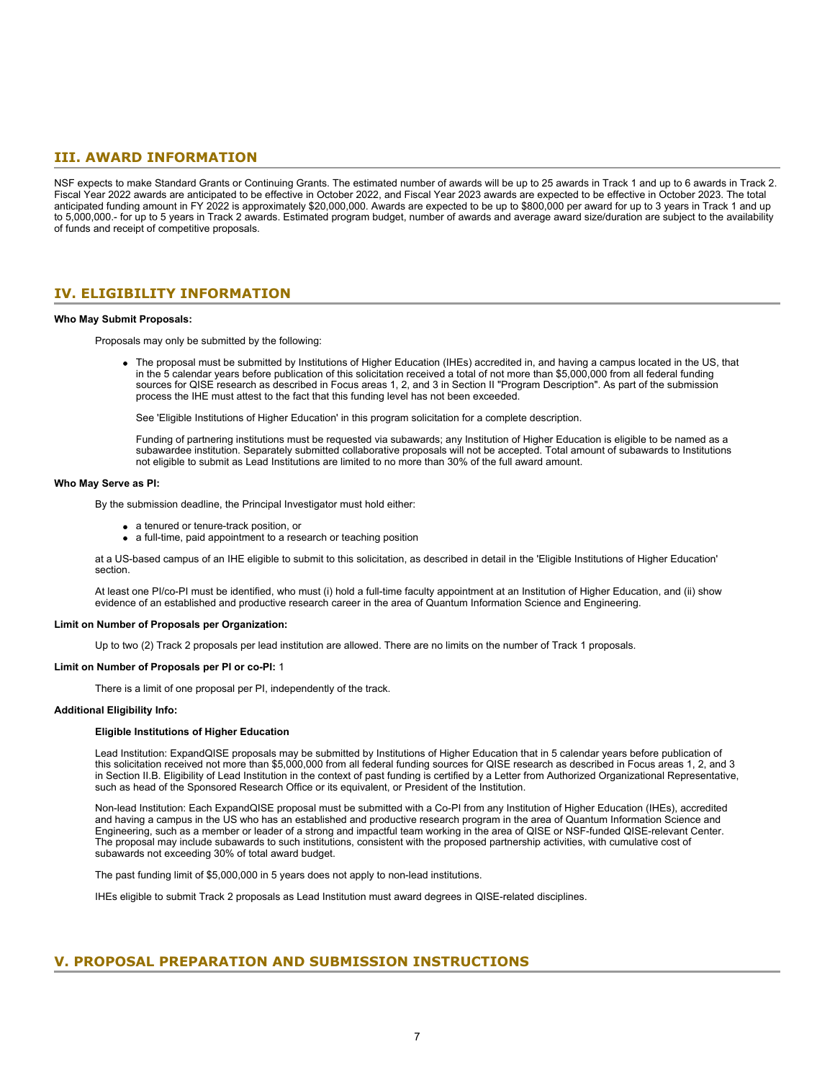## <span id="page-6-0"></span>**III. AWARD INFORMATION**

NSF expects to make Standard Grants or Continuing Grants. The estimated number of awards will be up to 25 awards in Track 1 and up to 6 awards in Track 2. Fiscal Year 2022 awards are anticipated to be effective in October 2022, and Fiscal Year 2023 awards are expected to be effective in October 2023. The total anticipated funding amount in FY 2022 is approximately \$20,000,000. Awards are expected to be up to \$800,000 per award for up to 3 years in Track 1 and up to 5,000,000.- for up to 5 years in Track 2 awards. Estimated program budget, number of awards and average award size/duration are subject to the availability of funds and receipt of competitive proposals.

## <span id="page-6-1"></span>**IV. ELIGIBILITY INFORMATION**

#### **Who May Submit Proposals:**

Proposals may only be submitted by the following:

The proposal must be submitted by Institutions of Higher Education (IHEs) accredited in, and having a campus located in the US, that in the 5 calendar years before publication of this solicitation received a total of not more than \$5,000,000 from all federal funding sources for QISE research as described in Focus areas 1, 2, and 3 in Section II "Program Description". As part of the submission process the IHE must attest to the fact that this funding level has not been exceeded.

See 'Eligible Institutions of Higher Education' in this program solicitation for a complete description.

Funding of partnering institutions must be requested via subawards; any Institution of Higher Education is eligible to be named as a subawardee institution. Separately submitted collaborative proposals will not be accepted. Total amount of subawards to Institutions not eligible to submit as Lead Institutions are limited to no more than 30% of the full award amount.

#### **Who May Serve as PI:**

By the submission deadline, the Principal Investigator must hold either:

- a tenured or tenure-track position, or
- a full-time, paid appointment to a research or teaching position

at a US-based campus of an IHE eligible to submit to this solicitation, as described in detail in the 'Eligible Institutions of Higher Education' section.

At least one PI/co-PI must be identified, who must (i) hold a full-time faculty appointment at an Institution of Higher Education, and (ii) show evidence of an established and productive research career in the area of Quantum Information Science and Engineering.

#### **Limit on Number of Proposals per Organization:**

Up to two (2) Track 2 proposals per lead institution are allowed. There are no limits on the number of Track 1 proposals.

#### **Limit on Number of Proposals per PI or co-PI:** 1

There is a limit of one proposal per PI, independently of the track.

#### **Additional Eligibility Info:**

#### **Eligible Institutions of Higher Education**

Lead Institution: ExpandQISE proposals may be submitted by Institutions of Higher Education that in 5 calendar years before publication of this solicitation received not more than \$5,000,000 from all federal funding sources for QISE research as described in Focus areas 1, 2, and 3 in Section II.B. Eligibility of Lead Institution in the context of past funding is certified by a Letter from Authorized Organizational Representative, such as head of the Sponsored Research Office or its equivalent, or President of the Institution.

Non-lead Institution: Each ExpandQISE proposal must be submitted with a Co-PI from any Institution of Higher Education (IHEs), accredited and having a campus in the US who has an established and productive research program in the area of Quantum Information Science and Engineering, such as a member or leader of a strong and impactful team working in the area of QISE or NSF-funded QISE-relevant Center. The proposal may include subawards to such institutions, consistent with the proposed partnership activities, with cumulative cost of subawards not exceeding 30% of total award budget.

The past funding limit of \$5,000,000 in 5 years does not apply to non-lead institutions.

IHEs eligible to submit Track 2 proposals as Lead Institution must award degrees in QISE-related disciplines.

### <span id="page-6-2"></span>**V. PROPOSAL PREPARATION AND SUBMISSION INSTRUCTIONS**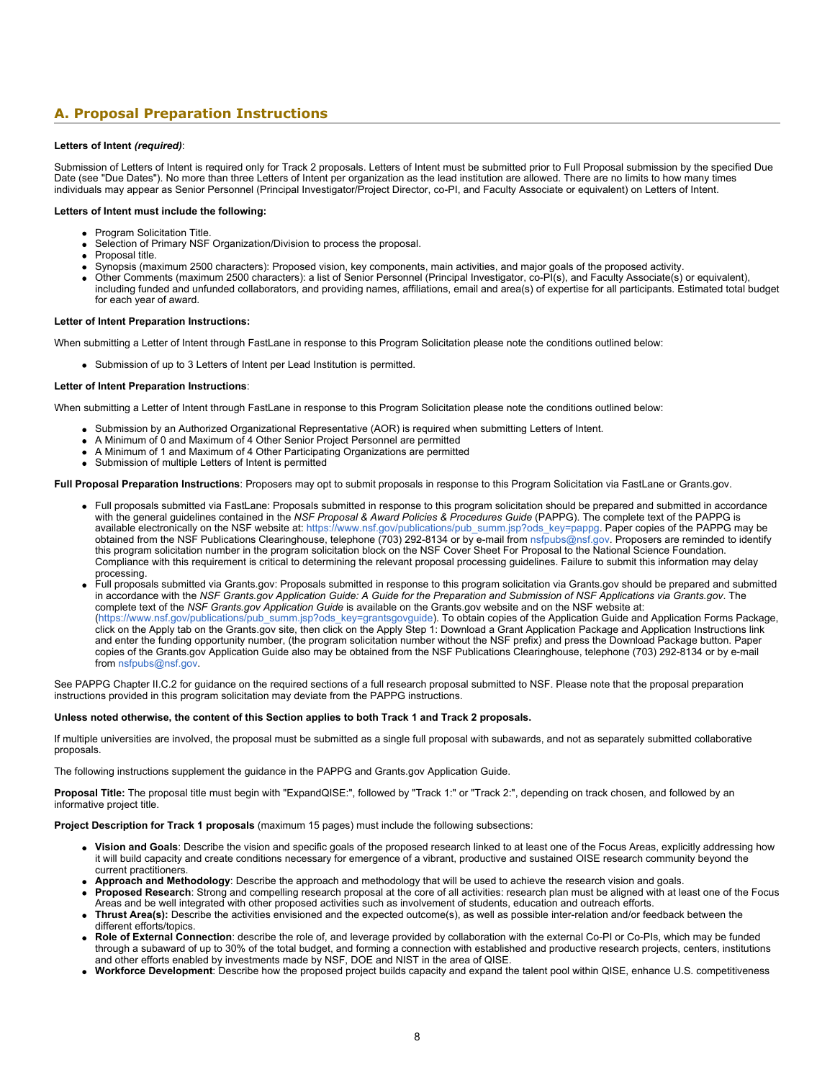## **A. Proposal Preparation Instructions**

#### **Letters of Intent** *(required)*:

Submission of Letters of Intent is required only for Track 2 proposals. Letters of Intent must be submitted prior to Full Proposal submission by the specified Due Date (see "Due Dates"). No more than three Letters of Intent per organization as the lead institution are allowed. There are no limits to how many times individuals may appear as Senior Personnel (Principal Investigator/Project Director, co-PI, and Faculty Associate or equivalent) on Letters of Intent.

#### **Letters of Intent must include the following:**

- Program Solicitation Title.
- Selection of Primary NSF Organization/Division to process the proposal.
- Proposal title.
- Synopsis (maximum 2500 characters): Proposed vision, key components, main activities, and major goals of the proposed activity.
- Other Comments (maximum 2500 characters): a list of Senior Personnel (Principal Investigator, co-PI(s), and Faculty Associate(s) or equivalent), including funded and unfunded collaborators, and providing names, affiliations, email and area(s) of expertise for all participants. Estimated total budget for each year of award.

#### **Letter of Intent Preparation Instructions:**

When submitting a Letter of Intent through FastLane in response to this Program Solicitation please note the conditions outlined below:

Submission of up to 3 Letters of Intent per Lead Institution is permitted.

#### **Letter of Intent Preparation Instructions**:

When submitting a Letter of Intent through FastLane in response to this Program Solicitation please note the conditions outlined below:

- Submission by an Authorized Organizational Representative (AOR) is required when submitting Letters of Intent.
- A Minimum of 0 and Maximum of 4 Other Senior Project Personnel are permitted
- A Minimum of 1 and Maximum of 4 Other Participating Organizations are permitted
- Submission of multiple Letters of Intent is permitted

**Full Proposal Preparation Instructions**: Proposers may opt to submit proposals in response to this Program Solicitation via FastLane or Grants.gov.

- Full proposals submitted via FastLane: Proposals submitted in response to this program solicitation should be prepared and submitted in accordance with the general guidelines contained in the *NSF Proposal & Award Policies & Procedures Guide* (PAPPG). The complete text of the PAPPG is available electronically on the NSF website at: [https://www.nsf.gov/publications/pub\\_summ.jsp?ods\\_key=pappg](https://www.nsf.gov/publications/pub_summ.jsp?ods_key=pappg). Paper copies of the PAPPG may be obtained from the NSF Publications Clearinghouse, telephone (703) 292-8134 or by e-mail from [nsfpubs@nsf.gov](mailto:nsfpubs@nsf.gov). Proposers are reminded to identify this program solicitation number in the program solicitation block on the NSF Cover Sheet For Proposal to the National Science Foundation. Compliance with this requirement is critical to determining the relevant proposal processing guidelines. Failure to submit this information may delay processing.
- Full proposals submitted via Grants.gov: Proposals submitted in response to this program solicitation via Grants.gov should be prepared and submitted in accordance with the *NSF Grants.gov Application Guide: A Guide for the Preparation and Submission of NSF Applications via Grants.gov*. The complete text of the *NSF Grants.gov Application Guide* is available on the Grants.gov website and on the NSF website at: [\(https://www.nsf.gov/publications/pub\\_summ.jsp?ods\\_key=grantsgovguide](https://www.nsf.gov/publications/pub_summ.jsp?ods_key=grantsgovguide)). To obtain copies of the Application Guide and Application Forms Package, click on the Apply tab on the Grants.gov site, then click on the Apply Step 1: Download a Grant Application Package and Application Instructions link and enter the funding opportunity number, (the program solicitation number without the NSF prefix) and press the Download Package button. Paper copies of the Grants.gov Application Guide also may be obtained from the NSF Publications Clearinghouse, telephone (703) 292-8134 or by e-mail from [nsfpubs@nsf.gov](mailto:nsfpubs@nsf.gov).

See PAPPG Chapter II.C.2 for guidance on the required sections of a full research proposal submitted to NSF. Please note that the proposal preparation instructions provided in this program solicitation may deviate from the PAPPG instructions.

#### **Unless noted otherwise, the content of this Section applies to both Track 1 and Track 2 proposals.**

If multiple universities are involved, the proposal must be submitted as a single full proposal with subawards, and not as separately submitted collaborative proposals.

The following instructions supplement the guidance in the PAPPG and Grants.gov Application Guide.

**Proposal Title:** The proposal title must begin with "ExpandQISE:", followed by "Track 1:" or "Track 2:", depending on track chosen, and followed by an informative project title.

**Project Description for Track 1 proposals** (maximum 15 pages) must include the following subsections:

- **Vision and Goals**: Describe the vision and specific goals of the proposed research linked to at least one of the Focus Areas, explicitly addressing how it will build capacity and create conditions necessary for emergence of a vibrant, productive and sustained OISE research community beyond the current practitioners.
- **Approach and Methodology**: Describe the approach and methodology that will be used to achieve the research vision and goals.
- **Proposed Research**: Strong and compelling research proposal at the core of all activities: research plan must be aligned with at least one of the Focus Areas and be well integrated with other proposed activities such as involvement of students, education and outreach efforts.
- **Thrust Area(s):** Describe the activities envisioned and the expected outcome(s), as well as possible inter-relation and/or feedback between the different efforts/topics.
- **Role of External Connection**: describe the role of, and leverage provided by collaboration with the external Co-PI or Co-PIs, which may be funded through a subaward of up to 30% of the total budget, and forming a connection with established and productive research projects, centers, institutions and other efforts enabled by investments made by NSF, DOE and NIST in the area of QISE.
- **Workforce Development**: Describe how the proposed project builds capacity and expand the talent pool within QISE, enhance U.S. competitiveness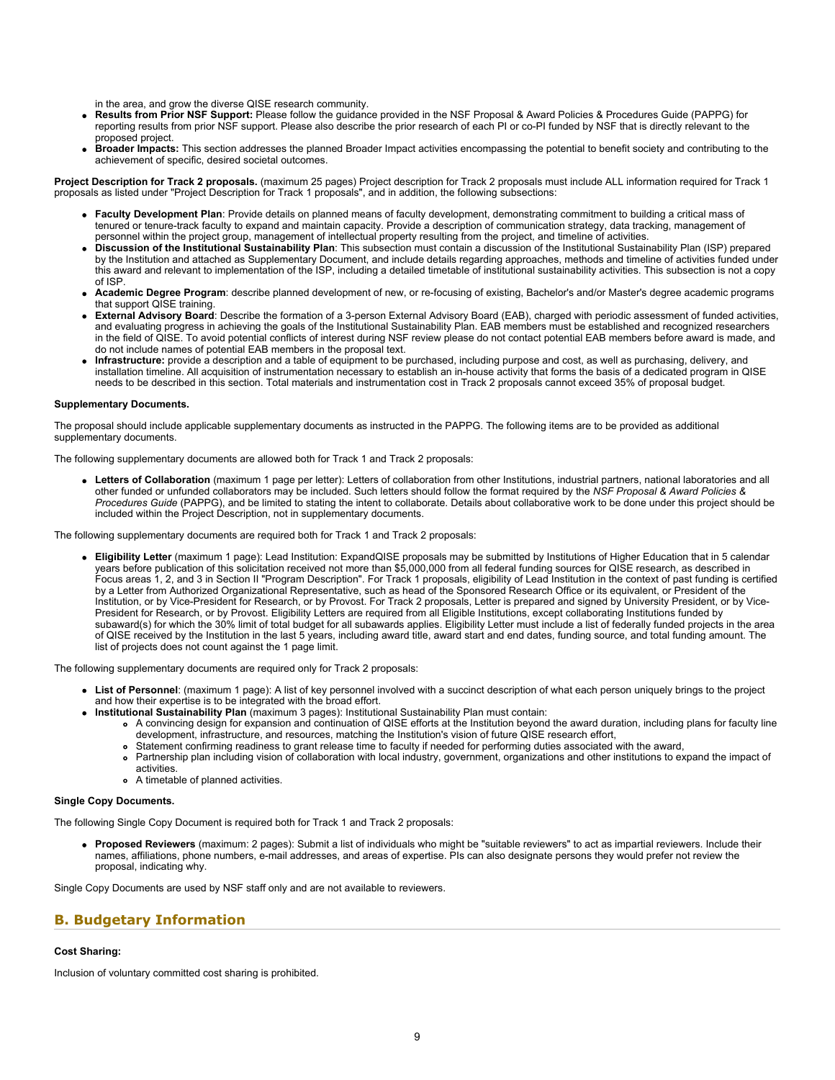in the area, and grow the diverse QISE research community.

- **Results from Prior NSF Support:** Please follow the guidance provided in the NSF Proposal & Award Policies & Procedures Guide (PAPPG) for reporting results from prior NSF support. Please also describe the prior research of each PI or co-PI funded by NSF that is directly relevant to the proposed project.
- **Broader Impacts:** This section addresses the planned Broader Impact activities encompassing the potential to benefit society and contributing to the achievement of specific, desired societal outcomes.

**Project Description for Track 2 proposals.** (maximum 25 pages) Project description for Track 2 proposals must include ALL information required for Track 1 proposals as listed under "Project Description for Track 1 proposals", and in addition, the following subsections:

- **Faculty Development Plan**: Provide details on planned means of faculty development, demonstrating commitment to building a critical mass of tenured or tenure-track faculty to expand and maintain capacity. Provide a description of communication strategy, data tracking, management of personnel within the project group, management of intellectual property resulting from the project, and timeline of activities.
- **Discussion of the Institutional Sustainability Plan**: This subsection must contain a discussion of the Institutional Sustainability Plan (ISP) prepared by the Institution and attached as Supplementary Document, and include details regarding approaches, methods and timeline of activities funded under this award and relevant to implementation of the ISP, including a detailed timetable of institutional sustainability activities. This subsection is not a copy of ISP.
- **Academic Degree Program**: describe planned development of new, or re-focusing of existing, Bachelor's and/or Master's degree academic programs that support QISE training.
- **External Advisory Board**: Describe the formation of a 3-person External Advisory Board (EAB), charged with periodic assessment of funded activities, and evaluating progress in achieving the goals of the Institutional Sustainability Plan. EAB members must be established and recognized researchers in the field of QISE. To avoid potential conflicts of interest during NSF review please do not contact potential EAB members before award is made, and do not include names of potential EAB members in the proposal text.
- **Infrastructure:** provide a description and a table of equipment to be purchased, including purpose and cost, as well as purchasing, delivery, and installation timeline. All acquisition of instrumentation necessary to establish an in-house activity that forms the basis of a dedicated program in QISE needs to be described in this section. Total materials and instrumentation cost in Track 2 proposals cannot exceed 35% of proposal budget.

#### **Supplementary Documents.**

The proposal should include applicable supplementary documents as instructed in the PAPPG. The following items are to be provided as additional supplementary documents.

The following supplementary documents are allowed both for Track 1 and Track 2 proposals:

**Letters of Collaboration** (maximum 1 page per letter): Letters of collaboration from other Institutions, industrial partners, national laboratories and all other funded or unfunded collaborators may be included. Such letters should follow the format required by the *NSF Proposal & Award Policies & Procedures Guide* (PAPPG), and be limited to stating the intent to collaborate. Details about collaborative work to be done under this project should be included within the Project Description, not in supplementary documents.

The following supplementary documents are required both for Track 1 and Track 2 proposals:

**Eligibility Letter** (maximum 1 page): Lead Institution: ExpandQISE proposals may be submitted by Institutions of Higher Education that in 5 calendar years before publication of this solicitation received not more than \$5,000,000 from all federal funding sources for QISE research, as described in Focus areas 1, 2, and 3 in Section II "Program Description". For Track 1 proposals, eligibility of Lead Institution in the context of past funding is certified by a Letter from Authorized Organizational Representative, such as head of the Sponsored Research Office or its equivalent, or President of the Institution, or by Vice-President for Research, or by Provost. For Track 2 proposals, Letter is prepared and signed by University President, or by Vice-President for Research, or by Provost. Eligibility Letters are required from all Eligible Institutions, except collaborating Institutions funded by subaward(s) for which the 30% limit of total budget for all subawards applies. Eligibility Letter must include a list of federally funded projects in the area of QISE received by the Institution in the last 5 years, including award title, award start and end dates, funding source, and total funding amount. The list of projects does not count against the 1 page limit.

The following supplementary documents are required only for Track 2 proposals:

- **List of Personnel**: (maximum 1 page): A list of key personnel involved with a succinct description of what each person uniquely brings to the project and how their expertise is to be integrated with the broad effort.
- **Institutional Sustainability Plan** (maximum 3 pages): Institutional Sustainability Plan must contain:
	- A convincing design for expansion and continuation of QISE efforts at the Institution beyond the award duration, including plans for faculty line development, infrastructure, and resources, matching the Institution's vision of future QISE research effort,
	- Statement confirming readiness to grant release time to faculty if needed for performing duties associated with the award,
	- Partnership plan including vision of collaboration with local industry, government, organizations and other institutions to expand the impact of activities.
		- A timetable of planned activities.

#### **Single Copy Documents.**

The following Single Copy Document is required both for Track 1 and Track 2 proposals:

**Proposed Reviewers** (maximum: 2 pages): Submit a list of individuals who might be "suitable reviewers" to act as impartial reviewers. Include their names, affiliations, phone numbers, e-mail addresses, and areas of expertise. PIs can also designate persons they would prefer not review the proposal, indicating why.

Single Copy Documents are used by NSF staff only and are not available to reviewers.

## <span id="page-8-0"></span>**B. Budgetary Information**

#### **Cost Sharing:**

Inclusion of voluntary committed cost sharing is prohibited.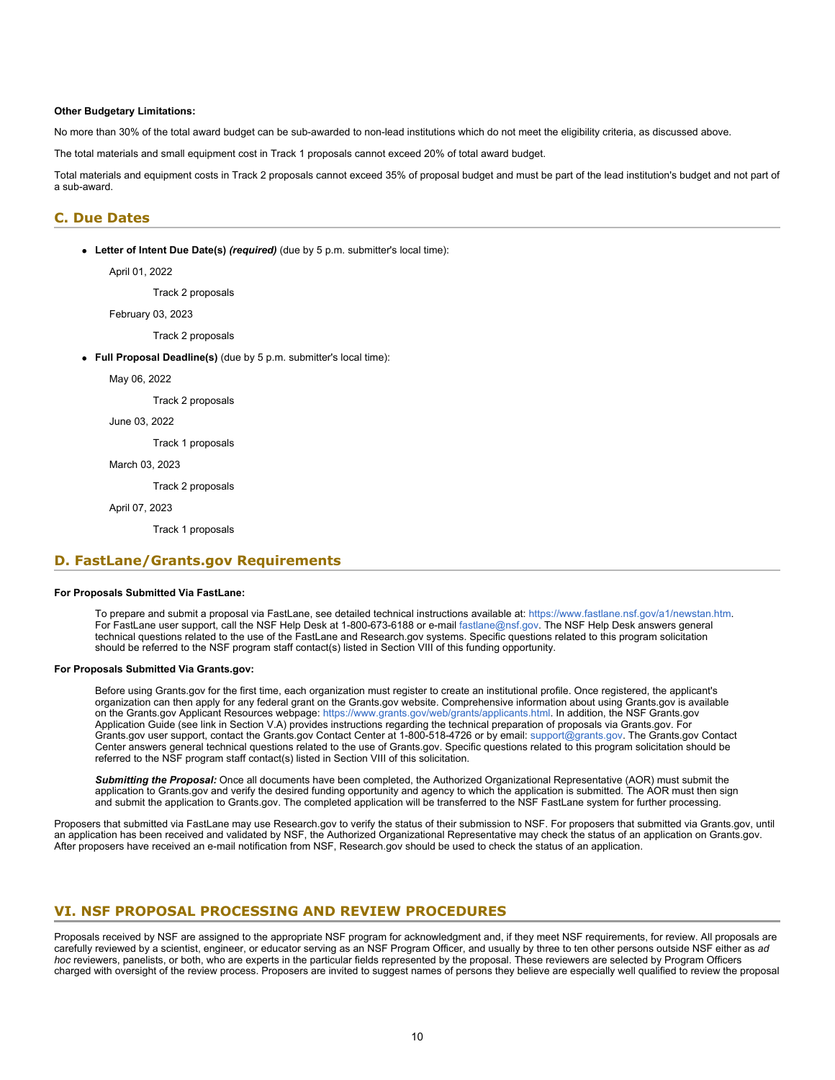#### **Other Budgetary Limitations:**

No more than 30% of the total award budget can be sub-awarded to non-lead institutions which do not meet the eligibility criteria, as discussed above.

The total materials and small equipment cost in Track 1 proposals cannot exceed 20% of total award budget.

Total materials and equipment costs in Track 2 proposals cannot exceed 35% of proposal budget and must be part of the lead institution's budget and not part of a sub-award.

## <span id="page-9-0"></span>**C. Due Dates**

**Letter of Intent Due Date(s)** *(required)* (due by 5 p.m. submitter's local time):

April 01, 2022

Track 2 proposals

February 03, 2023

Track 2 proposals

**Full Proposal Deadline(s)** (due by 5 p.m. submitter's local time):

May 06, 2022

Track 2 proposals

June 03, 2022

Track 1 proposals

March 03, 2023

Track 2 proposals

April 07, 2023

Track 1 proposals

## <span id="page-9-1"></span>**D. FastLane/Grants.gov Requirements**

#### **For Proposals Submitted Via FastLane:**

To prepare and submit a proposal via FastLane, see detailed technical instructions available at: <https://www.fastlane.nsf.gov/a1/newstan.htm>. For FastLane user support, call the NSF Help Desk at 1-800-673-6188 or e-mail [fastlane@nsf.gov](mailto:fastlane@nsf.gov). The NSF Help Desk answers general technical questions related to the use of the FastLane and Research.gov systems. Specific questions related to this program solicitation should be referred to the NSF program staff contact(s) listed in Section VIII of this funding opportunity.

#### **For Proposals Submitted Via Grants.gov:**

Before using Grants.gov for the first time, each organization must register to create an institutional profile. Once registered, the applicant's organization can then apply for any federal grant on the Grants.gov website. Comprehensive information about using Grants.gov is available on the Grants.gov Applicant Resources webpage:<https://www.grants.gov/web/grants/applicants.html>. In addition, the NSF Grants.gov Application Guide (see link in Section V.A) provides instructions regarding the technical preparation of proposals via Grants.gov. For Grants.gov user support, contact the Grants.gov Contact Center at 1-800-518-4726 or by email: [support@grants.gov.](mailto:support@grants.gov) The Grants.gov Contact Center answers general technical questions related to the use of Grants.gov. Specific questions related to this program solicitation should be referred to the NSF program staff contact(s) listed in Section VIII of this solicitation.

*Submitting the Proposal:* Once all documents have been completed, the Authorized Organizational Representative (AOR) must submit the application to Grants.gov and verify the desired funding opportunity and agency to which the application is submitted. The AOR must then sign and submit the application to Grants.gov. The completed application will be transferred to the NSF FastLane system for further processing.

Proposers that submitted via FastLane may use Research.gov to verify the status of their submission to NSF. For proposers that submitted via Grants.gov, until an application has been received and validated by NSF, the Authorized Organizational Representative may check the status of an application on Grants.gov. After proposers have received an e-mail notification from NSF, Research.gov should be used to check the status of an application.

### <span id="page-9-2"></span>**VI. NSF PROPOSAL PROCESSING AND REVIEW PROCEDURES**

Proposals received by NSF are assigned to the appropriate NSF program for acknowledgment and, if they meet NSF requirements, for review. All proposals are carefully reviewed by a scientist, engineer, or educator serving as an NSF Program Officer, and usually by three to ten other persons outside NSF either as *ad hoc* reviewers, panelists, or both, who are experts in the particular fields represented by the proposal. These reviewers are selected by Program Officers charged with oversight of the review process. Proposers are invited to suggest names of persons they believe are especially well qualified to review the proposal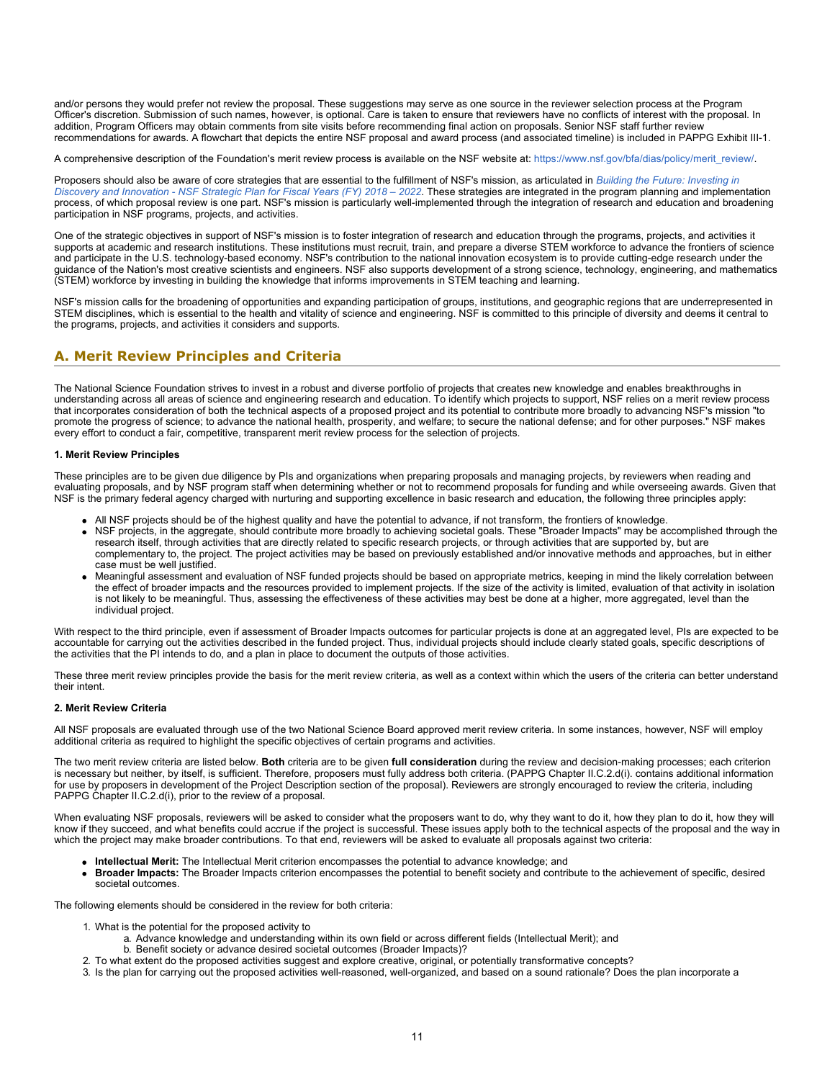and/or persons they would prefer not review the proposal. These suggestions may serve as one source in the reviewer selection process at the Program Officer's discretion. Submission of such names, however, is optional. Care is taken to ensure that reviewers have no conflicts of interest with the proposal. In addition, Program Officers may obtain comments from site visits before recommending final action on proposals. Senior NSF staff further review recommendations for awards. A flowchart that depicts the entire NSF proposal and award process (and associated timeline) is included in PAPPG Exhibit III-1.

A comprehensive description of the Foundation's merit review process is available on the NSF website at: [https://www.nsf.gov/bfa/dias/policy/merit\\_review/](https://www.nsf.gov/bfa/dias/policy/merit_review/).

Proposers should also be aware of core strategies that are essential to the fulfillment of NSF's mission, as articulated in *[Building the Future: Investing in](https://www.nsf.gov/publications/pub_summ.jsp?ods_key=nsf18045) [Discovery and Innovation - NSF Strategic Plan for Fiscal Years \(FY\) 2018 – 2022](https://www.nsf.gov/publications/pub_summ.jsp?ods_key=nsf18045)*. These strategies are integrated in the program planning and implementation process, of which proposal review is one part. NSF's mission is particularly well-implemented through the integration of research and education and broadening participation in NSF programs, projects, and activities.

One of the strategic objectives in support of NSF's mission is to foster integration of research and education through the programs, projects, and activities it supports at academic and research institutions. These institutions must recruit, train, and prepare a diverse STEM workforce to advance the frontiers of science and participate in the U.S. technology-based economy. NSF's contribution to the national innovation ecosystem is to provide cutting-edge research under the guidance of the Nation's most creative scientists and engineers. NSF also supports development of a strong science, technology, engineering, and mathematics (STEM) workforce by investing in building the knowledge that informs improvements in STEM teaching and learning.

NSF's mission calls for the broadening of opportunities and expanding participation of groups, institutions, and geographic regions that are underrepresented in STEM disciplines, which is essential to the health and vitality of science and engineering. NSF is committed to this principle of diversity and deems it central to the programs, projects, and activities it considers and supports.

## <span id="page-10-0"></span>**A. Merit Review Principles and Criteria**

The National Science Foundation strives to invest in a robust and diverse portfolio of projects that creates new knowledge and enables breakthroughs in understanding across all areas of science and engineering research and education. To identify which projects to support, NSF relies on a merit review process that incorporates consideration of both the technical aspects of a proposed project and its potential to contribute more broadly to advancing NSF's mission "to promote the progress of science; to advance the national health, prosperity, and welfare; to secure the national defense; and for other purposes." NSF makes every effort to conduct a fair, competitive, transparent merit review process for the selection of projects.

#### **1. Merit Review Principles**

These principles are to be given due diligence by PIs and organizations when preparing proposals and managing projects, by reviewers when reading and evaluating proposals, and by NSF program staff when determining whether or not to recommend proposals for funding and while overseeing awards. Given that NSF is the primary federal agency charged with nurturing and supporting excellence in basic research and education, the following three principles apply:

- All NSF projects should be of the highest quality and have the potential to advance, if not transform, the frontiers of knowledge.
- . NSF projects, in the aggregate, should contribute more broadly to achieving societal goals. These "Broader Impacts" may be accomplished through the research itself, through activities that are directly related to specific research projects, or through activities that are supported by, but are complementary to, the project. The project activities may be based on previously established and/or innovative methods and approaches, but in either case must be well justified.
- Meaningful assessment and evaluation of NSF funded projects should be based on appropriate metrics, keeping in mind the likely correlation between the effect of broader impacts and the resources provided to implement projects. If the size of the activity is limited, evaluation of that activity in isolation is not likely to be meaningful. Thus, assessing the effectiveness of these activities may best be done at a higher, more aggregated, level than the individual project.

With respect to the third principle, even if assessment of Broader Impacts outcomes for particular projects is done at an aggregated level, PIs are expected to be accountable for carrying out the activities described in the funded project. Thus, individual projects should include clearly stated goals, specific descriptions of the activities that the PI intends to do, and a plan in place to document the outputs of those activities.

These three merit review principles provide the basis for the merit review criteria, as well as a context within which the users of the criteria can better understand their intent.

#### **2. Merit Review Criteria**

All NSF proposals are evaluated through use of the two National Science Board approved merit review criteria. In some instances, however, NSF will employ additional criteria as required to highlight the specific objectives of certain programs and activities.

The two merit review criteria are listed below. **Both** criteria are to be given **full consideration** during the review and decision-making processes; each criterion is necessary but neither, by itself, is sufficient. Therefore, proposers must fully address both criteria. (PAPPG Chapter II.C.2.d(i). contains additional information for use by proposers in development of the Project Description section of the proposal). Reviewers are strongly encouraged to review the criteria, including PAPPG Chapter II.C.2.d(i), prior to the review of a proposal.

When evaluating NSF proposals, reviewers will be asked to consider what the proposers want to do, why they want to do it, how they plan to do it, how they will know if they succeed, and what benefits could accrue if the project is successful. These issues apply both to the technical aspects of the proposal and the way in which the project may make broader contributions. To that end, reviewers will be asked to evaluate all proposals against two criteria:

- **Intellectual Merit:** The Intellectual Merit criterion encompasses the potential to advance knowledge; and
- **Broader Impacts:** The Broader Impacts criterion encompasses the potential to benefit society and contribute to the achievement of specific, desired societal outcomes.

The following elements should be considered in the review for both criteria:

- 1. What is the potential for the proposed activity to
	- a. Advance knowledge and understanding within its own field or across different fields (Intellectual Merit); and
	- b. Benefit society or advance desired societal outcomes (Broader Impacts)?
- 2. To what extent do the proposed activities suggest and explore creative, original, or potentially transformative concepts?
- 3. Is the plan for carrying out the proposed activities well-reasoned, well-organized, and based on a sound rationale? Does the plan incorporate a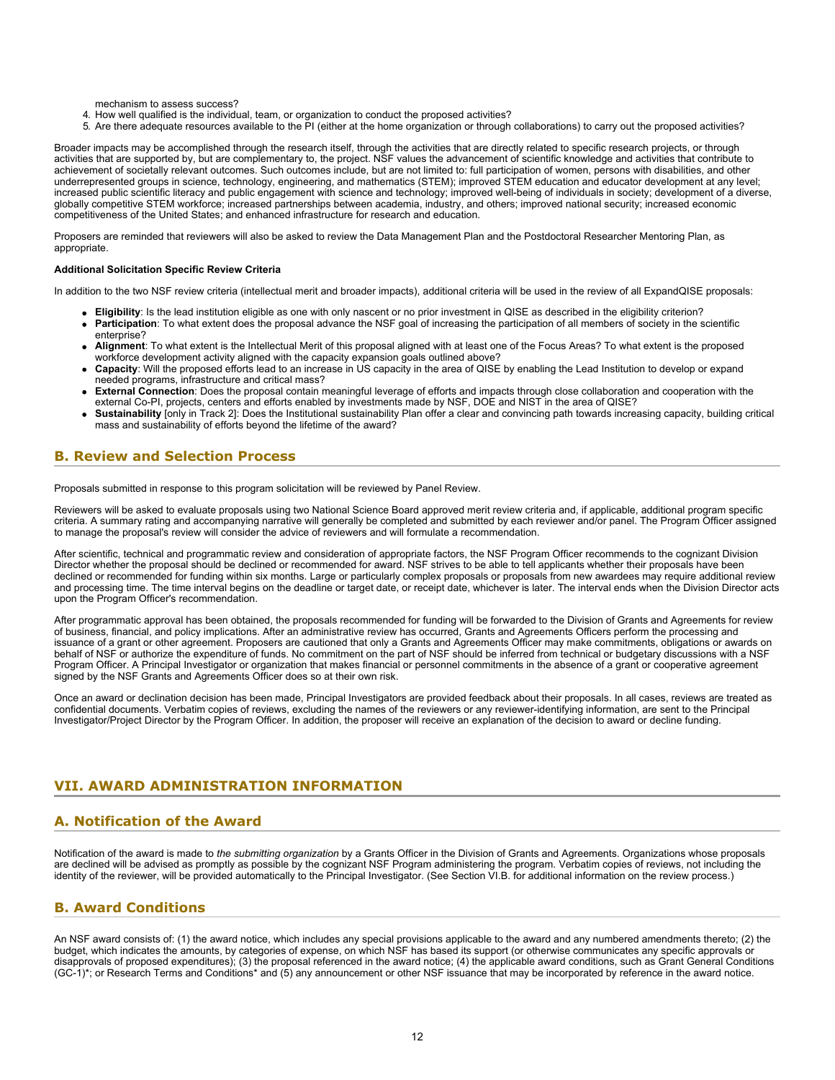mechanism to assess success?

- 4. How well qualified is the individual, team, or organization to conduct the proposed activities?
- 5. Are there adequate resources available to the PI (either at the home organization or through collaborations) to carry out the proposed activities?

Broader impacts may be accomplished through the research itself, through the activities that are directly related to specific research projects, or through activities that are supported by, but are complementary to, the project. NSF values the advancement of scientific knowledge and activities that contribute to achievement of societally relevant outcomes. Such outcomes include, but are not limited to: full participation of women, persons with disabilities, and other underrepresented groups in science, technology, engineering, and mathematics (STEM); improved STEM education and educator development at any level; increased public scientific literacy and public engagement with science and technology; improved well-being of individuals in society; development of a diverse, globally competitive STEM workforce; increased partnerships between academia, industry, and others; improved national security; increased economic competitiveness of the United States; and enhanced infrastructure for research and education.

Proposers are reminded that reviewers will also be asked to review the Data Management Plan and the Postdoctoral Researcher Mentoring Plan, as appropriate.

#### **Additional Solicitation Specific Review Criteria**

In addition to the two NSF review criteria (intellectual merit and broader impacts), additional criteria will be used in the review of all ExpandQISE proposals:

- **Eligibility**: Is the lead institution eligible as one with only nascent or no prior investment in QISE as described in the eligibility criterion? **Participation**: To what extent does the proposal advance the NSF goal of increasing the participation of all members of society in the scientific enterprise?
- **Alignment**: To what extent is the Intellectual Merit of this proposal aligned with at least one of the Focus Areas? To what extent is the proposed workforce development activity aligned with the capacity expansion goals outlined above?
- **Capacity**: Will the proposed efforts lead to an increase in US capacity in the area of QISE by enabling the Lead Institution to develop or expand needed programs, infrastructure and critical mass?
- **External Connection**: Does the proposal contain meaningful leverage of efforts and impacts through close collaboration and cooperation with the external Co-PI, projects, centers and efforts enabled by investments made by NSF, DOE and NIST in the area of QISE?
- **Sustainability** [only in Track 2]: Does the Institutional sustainability Plan offer a clear and convincing path towards increasing capacity, building critical mass and sustainability of efforts beyond the lifetime of the award?

### <span id="page-11-0"></span>**B. Review and Selection Process**

Proposals submitted in response to this program solicitation will be reviewed by Panel Review.

Reviewers will be asked to evaluate proposals using two National Science Board approved merit review criteria and, if applicable, additional program specific criteria. A summary rating and accompanying narrative will generally be completed and submitted by each reviewer and/or panel. The Program Officer assigned to manage the proposal's review will consider the advice of reviewers and will formulate a recommendation.

After scientific, technical and programmatic review and consideration of appropriate factors, the NSF Program Officer recommends to the cognizant Division Director whether the proposal should be declined or recommended for award. NSF strives to be able to tell applicants whether their proposals have been declined or recommended for funding within six months. Large or particularly complex proposals or proposals from new awardees may require additional review and processing time. The time interval begins on the deadline or target date, or receipt date, whichever is later. The interval ends when the Division Director acts upon the Program Officer's recommendation.

After programmatic approval has been obtained, the proposals recommended for funding will be forwarded to the Division of Grants and Agreements for review of business, financial, and policy implications. After an administrative review has occurred, Grants and Agreements Officers perform the processing and issuance of a grant or other agreement. Proposers are cautioned that only a Grants and Agreements Officer may make commitments, obligations or awards on behalf of NSF or authorize the expenditure of funds. No commitment on the part of NSF should be inferred from technical or budgetary discussions with a NSF Program Officer. A Principal Investigator or organization that makes financial or personnel commitments in the absence of a grant or cooperative agreement signed by the NSF Grants and Agreements Officer does so at their own risk.

Once an award or declination decision has been made, Principal Investigators are provided feedback about their proposals. In all cases, reviews are treated as confidential documents. Verbatim copies of reviews, excluding the names of the reviewers or any reviewer-identifying information, are sent to the Principal Investigator/Project Director by the Program Officer. In addition, the proposer will receive an explanation of the decision to award or decline funding.

### <span id="page-11-1"></span>**VII. AWARD ADMINISTRATION INFORMATION**

### <span id="page-11-2"></span>**A. Notification of the Award**

Notification of the award is made to *the submitting organization* by a Grants Officer in the Division of Grants and Agreements. Organizations whose proposals are declined will be advised as promptly as possible by the cognizant NSF Program administering the program. Verbatim copies of reviews, not including the identity of the reviewer, will be provided automatically to the Principal Investigator. (See Section VI.B. for additional information on the review process.)

### <span id="page-11-3"></span>**B. Award Conditions**

An NSF award consists of: (1) the award notice, which includes any special provisions applicable to the award and any numbered amendments thereto; (2) the budget, which indicates the amounts, by categories of expense, on which NSF has based its support (or otherwise communicates any specific approvals or disapprovals of proposed expenditures); (3) the proposal referenced in the award notice; (4) the applicable award conditions, such as Grant General Conditions (GC-1)\*; or Research Terms and Conditions\* and (5) any announcement or other NSF issuance that may be incorporated by reference in the award notice.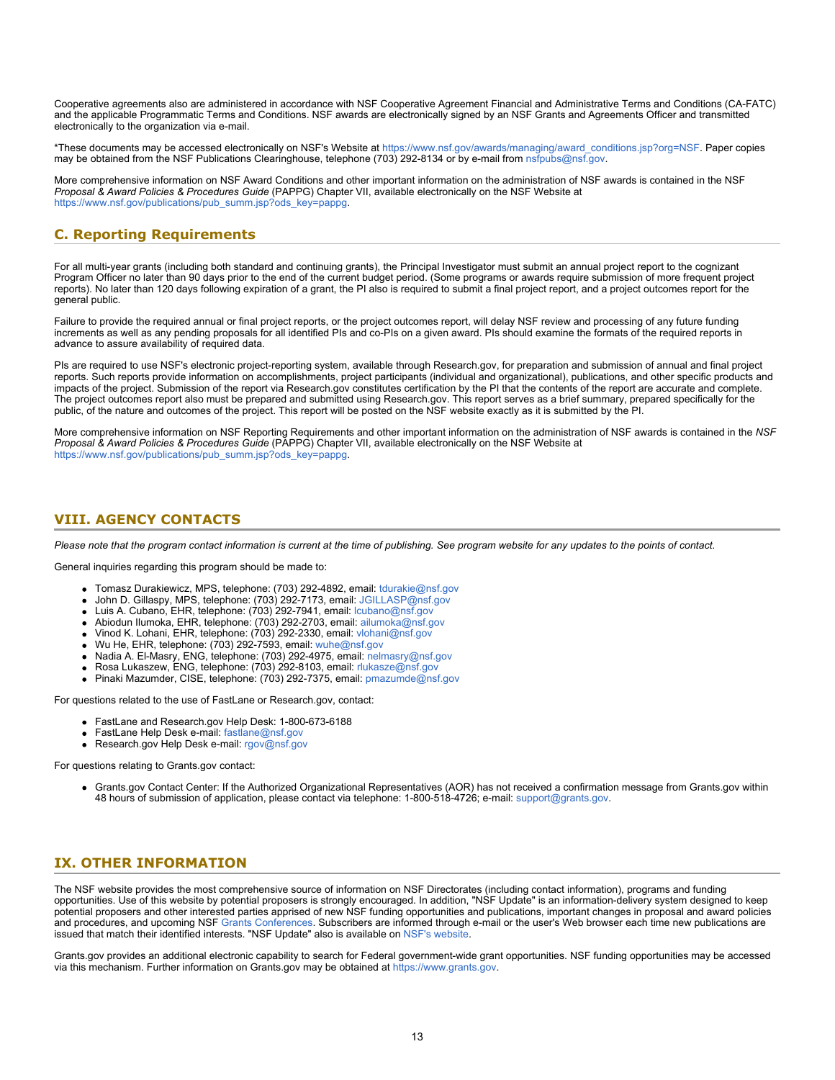Cooperative agreements also are administered in accordance with NSF Cooperative Agreement Financial and Administrative Terms and Conditions (CA-FATC) and the applicable Programmatic Terms and Conditions. NSF awards are electronically signed by an NSF Grants and Agreements Officer and transmitted electronically to the organization via e-mail.

\*These documents may be accessed electronically on NSF's Website at [https://www.nsf.gov/awards/managing/award\\_conditions.jsp?org=NSF](https://www.nsf.gov/awards/managing/award_conditions.jsp?org=NSF). Paper copies may be obtained from the NSF Publications Clearinghouse, telephone (703) 292-8134 or by e-mail from [nsfpubs@nsf.gov.](mailto:nsfpubs@nsf.gov)

More comprehensive information on NSF Award Conditions and other important information on the administration of NSF awards is contained in the NSF *Proposal & Award Policies & Procedures Guide* (PAPPG) Chapter VII, available electronically on the NSF Website at [https://www.nsf.gov/publications/pub\\_summ.jsp?ods\\_key=pappg.](https://www.nsf.gov/publications/pub_summ.jsp?ods_key=pappg)

## <span id="page-12-0"></span>**C. Reporting Requirements**

For all multi-year grants (including both standard and continuing grants), the Principal Investigator must submit an annual project report to the cognizant Program Officer no later than 90 days prior to the end of the current budget period. (Some programs or awards require submission of more frequent project reports). No later than 120 days following expiration of a grant, the PI also is required to submit a final project report, and a project outcomes report for the general public.

Failure to provide the required annual or final project reports, or the project outcomes report, will delay NSF review and processing of any future funding increments as well as any pending proposals for all identified PIs and co-PIs on a given award. PIs should examine the formats of the required reports in advance to assure availability of required data.

PIs are required to use NSF's electronic project-reporting system, available through Research.gov, for preparation and submission of annual and final project reports. Such reports provide information on accomplishments, project participants (individual and organizational), publications, and other specific products and impacts of the project. Submission of the report via Research.gov constitutes certification by the PI that the contents of the report are accurate and complete. The project outcomes report also must be prepared and submitted using Research.gov. This report serves as a brief summary, prepared specifically for the public, of the nature and outcomes of the project. This report will be posted on the NSF website exactly as it is submitted by the PI.

More comprehensive information on NSF Reporting Requirements and other important information on the administration of NSF awards is contained in the *NSF Proposal & Award Policies & Procedures Guide* (PAPPG) Chapter VII, available electronically on the NSF Website at [https://www.nsf.gov/publications/pub\\_summ.jsp?ods\\_key=pappg.](https://www.nsf.gov/publications/pub_summ.jsp?ods_key=pappg)

## <span id="page-12-1"></span>**VIII. AGENCY CONTACTS**

*Please note that the program contact information is current at the time of publishing. See program website for any updates to the points of contact.*

General inquiries regarding this program should be made to:

- Tomasz Durakiewicz, MPS, telephone: (703) 292-4892, email: [tdurakie@nsf.gov](mailto:tdurakie@nsf.gov)
- John D. Gillaspy, MPS, telephone: (703) 292-7173, email: [JGILLASP@nsf.gov](mailto:JGILLASP@nsf.gov)
- Luis A. Cubano, EHR, telephone: (703) 292-7941, email: [lcubano@nsf.gov](mailto:lcubano@nsf.gov)
- Abiodun Ilumoka, EHR, telephone: (703) 292-2703, email: [ailumoka@nsf.gov](mailto:ailumoka@nsf.gov)
- Vinod K. Lohani, EHR, telephone: (703) 292-2330, email: [vlohani@nsf.gov](mailto:vlohani@nsf.gov)
- Wu He, EHR, telephone: (703) 292-7593, email: [wuhe@nsf.gov](mailto:wuhe@nsf.gov)
- Nadia A. El-Masry, ENG, telephone: (703) 292-4975, email: [nelmasry@nsf.gov](mailto:nelmasry@nsf.gov)
- Rosa Lukaszew, ENG, telephone: (703) 292-8103, email: [rlukasze@nsf.gov](mailto:rlukasze@nsf.gov)
- Pinaki Mazumder, CISE, telephone: (703) 292-7375, email: [pmazumde@nsf.gov](mailto:pmazumde@nsf.gov)

For questions related to the use of FastLane or Research.gov, contact:

- FastLane and Research.gov Help Desk: 1-800-673-6188
- FastLane Help Desk e-mail: [fastlane@nsf.gov](mailto:fastlane@nsf.gov)
- Research.gov Help Desk e-mail: [rgov@nsf.gov](mailto:rgov@nsf.gov)

For questions relating to Grants.gov contact:

Grants.gov Contact Center: If the Authorized Organizational Representatives (AOR) has not received a confirmation message from Grants.gov within 48 hours of submission of application, please contact via telephone: 1-800-518-4726; e-mail: [support@grants.gov](mailto:support@grants.gov).

## <span id="page-12-2"></span>**IX. OTHER INFORMATION**

The NSF website provides the most comprehensive source of information on NSF Directorates (including contact information), programs and funding opportunities. Use of this website by potential proposers is strongly encouraged. In addition, "NSF Update" is an information-delivery system designed to keep potential proposers and other interested parties apprised of new NSF funding opportunities and publications, important changes in proposal and award policies and procedures, and upcoming NSF [Grants Conferences](https://www.nsf.gov/bfa/dias/policy/outreach.jsp). Subscribers are informed through e-mail or the user's Web browser each time new publications are issued that match their identified interests. "NSF Update" also is available on [NSF's website](https://www.nsf.gov/cgi-bin/goodbye?https://public.govdelivery.com/accounts/USNSF/subscriber/new?topic_id=USNSF_179).

Grants.gov provides an additional electronic capability to search for Federal government-wide grant opportunities. NSF funding opportunities may be accessed via this mechanism. Further information on Grants.gov may be obtained at [https://www.grants.gov](https://www.grants.gov/).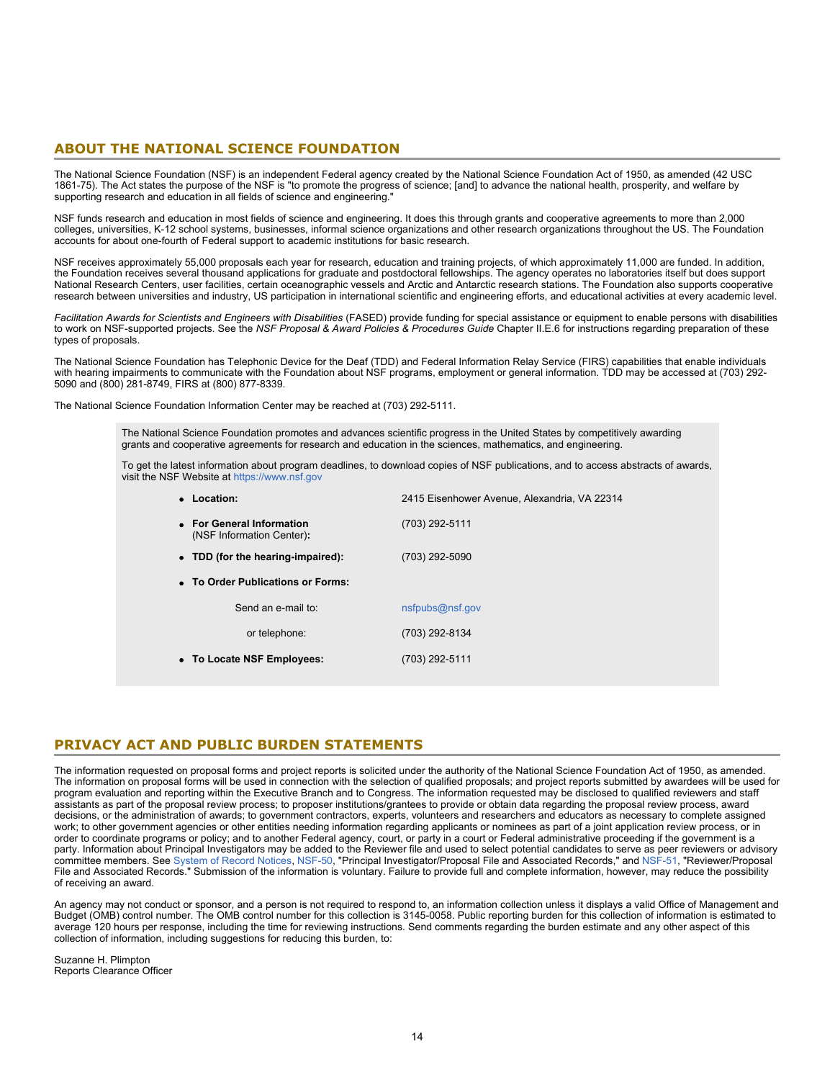## **ABOUT THE NATIONAL SCIENCE FOUNDATION**

The National Science Foundation (NSF) is an independent Federal agency created by the National Science Foundation Act of 1950, as amended (42 USC 1861-75). The Act states the purpose of the NSF is "to promote the progress of science; [and] to advance the national health, prosperity, and welfare by supporting research and education in all fields of science and engineering."

NSF funds research and education in most fields of science and engineering. It does this through grants and cooperative agreements to more than 2,000 colleges, universities, K-12 school systems, businesses, informal science organizations and other research organizations throughout the US. The Foundation accounts for about one-fourth of Federal support to academic institutions for basic research.

NSF receives approximately 55,000 proposals each year for research, education and training projects, of which approximately 11,000 are funded. In addition, the Foundation receives several thousand applications for graduate and postdoctoral fellowships. The agency operates no laboratories itself but does support National Research Centers, user facilities, certain oceanographic vessels and Arctic and Antarctic research stations. The Foundation also supports cooperative research between universities and industry, US participation in international scientific and engineering efforts, and educational activities at every academic level.

*Facilitation Awards for Scientists and Engineers with Disabilities* (FASED) provide funding for special assistance or equipment to enable persons with disabilities to work on NSF-supported projects. See the *NSF Proposal & Award Policies & Procedures Guide* Chapter II.E.6 for instructions regarding preparation of these types of proposals.

The National Science Foundation has Telephonic Device for the Deaf (TDD) and Federal Information Relay Service (FIRS) capabilities that enable individuals with hearing impairments to communicate with the Foundation about NSF programs, employment or general information. TDD may be accessed at (703) 292- 5090 and (800) 281-8749, FIRS at (800) 877-8339.

The National Science Foundation Information Center may be reached at (703) 292-5111.

The National Science Foundation promotes and advances scientific progress in the United States by competitively awarding grants and cooperative agreements for research and education in the sciences, mathematics, and engineering.

To get the latest information about program deadlines, to download copies of NSF publications, and to access abstracts of awards, visit the NSF Website at [https://www.nsf.gov](https://www.nsf.gov/)

| • Location:                                            | 2415 Eisenhower Avenue, Alexandria, VA 22314 |
|--------------------------------------------------------|----------------------------------------------|
| • For General Information<br>(NSF Information Center): | (703) 292-5111                               |
| • TDD (for the hearing-impaired):                      | (703) 292-5090                               |
| • To Order Publications or Forms:                      |                                              |
| Send an e-mail to:                                     | nsfpubs@nsf.gov                              |
| or telephone:                                          | (703) 292-8134                               |
| • To Locate NSF Employees:                             | (703) 292-5111                               |
|                                                        |                                              |

## **PRIVACY ACT AND PUBLIC BURDEN STATEMENTS**

The information requested on proposal forms and project reports is solicited under the authority of the National Science Foundation Act of 1950, as amended. The information on proposal forms will be used in connection with the selection of qualified proposals; and project reports submitted by awardees will be used for program evaluation and reporting within the Executive Branch and to Congress. The information requested may be disclosed to qualified reviewers and staff assistants as part of the proposal review process; to proposer institutions/grantees to provide or obtain data regarding the proposal review process, award decisions, or the administration of awards; to government contractors, experts, volunteers and researchers and educators as necessary to complete assigned work; to other government agencies or other entities needing information regarding applicants or nominees as part of a joint application review process, or in order to coordinate programs or policy; and to another Federal agency, court, or party in a court or Federal administrative proceeding if the government is a party. Information about Principal Investigators may be added to the Reviewer file and used to select potential candidates to serve as peer reviewers or advisory committee members. See [System of Record Notices](https://www.nsf.gov/privacy/), [NSF-50,](https://www.nsf.gov/policies/records/NSF-50_Principal_Investigator_Proposal_File_and_Associated_Records.pdf) "Principal Investigator/Proposal File and Associated Records," and [NSF-51,](https://www.nsf.gov/policies/SOR_PA_NSF-51_Reviewer_Proposal_File.pdf) "Reviewer/Proposal File and Associated Records." Submission of the information is voluntary. Failure to provide full and complete information, however, may reduce the possibility of receiving an award.

An agency may not conduct or sponsor, and a person is not required to respond to, an information collection unless it displays a valid Office of Management and Budget (OMB) control number. The OMB control number for this collection is 3145-0058. Public reporting burden for this collection of information is estimated to average 120 hours per response, including the time for reviewing instructions. Send comments regarding the burden estimate and any other aspect of this collection of information, including suggestions for reducing this burden, to:

Suzanne H. Plimpton Reports Clearance Officer